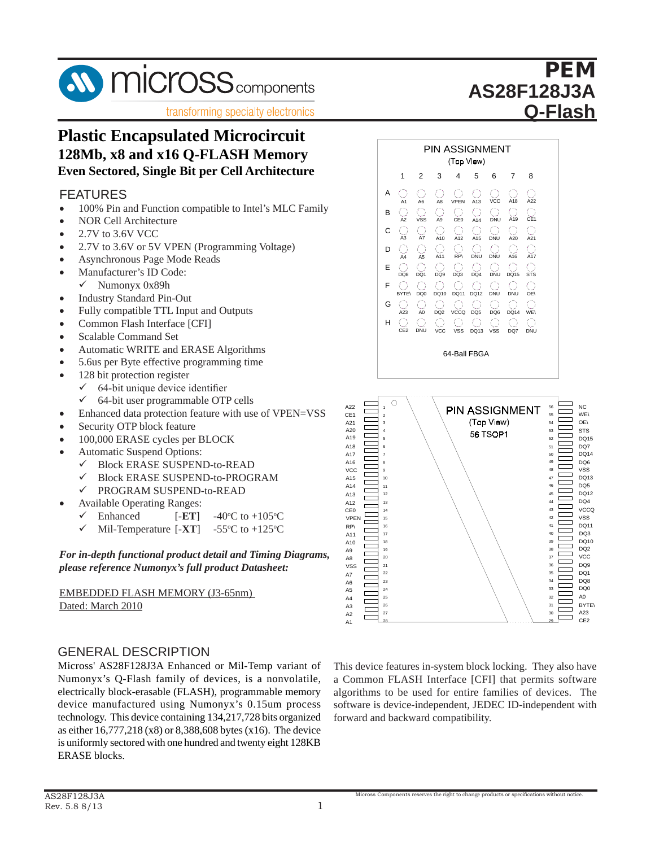

**transforming specialty electronics** 

# **Plastic Encapsulated Microcircuit**  128Mb, x8 and x16 Q-FLASH Memory **Even Sectored, Single Bit per Cell Architecture**

#### FEATURES **Even Sectored, Single Bit per Cell Architecture**

- 100% Pin and Function compatible to Intel's MLC Family
- NOR Cell Architecture
- 2.7V to 3.6V VCC •  $2.7V$  to 3.6V VCC
- 2.7V to 3.6V or 5V VPEN (Programming Voltage) •  $2.7V$  to 3.6V or 5V
- Asynchronous Page Mode Reads
- Manufacturer's ID Code:
- $\checkmark$  Numonyx 0x89h
- Industry Standard Pin-Out
- Fully compatible TTL Input and Outputs
- Common Flash Interface [CFI]
- Scalable Command Set
- Automatic WRITE and ERASE Algorithms
- 5.6us per Byte effective programming time
- $\bullet$  128 bit protection register
- $\checkmark$  64-bit unique device identifier
- $\checkmark$  64-bit user programmable OTP cells
- Enhanced data protection feature with use of VPEN=VSS
- $\bullet$  Security OTP block feature
- 100,000 ERASE cycles per BLOCK
- Automatic Suspend Options:
- ← Block ERASE SUSPEND-to-READ
- $\checkmark$  Block ERASE SUSPEND-to-PROGRAM
	- PROGRAM SUSPEND-to-READ Block ERASE SUSPEND-to-READ  $\mathbf{B}$  EROURANI SUSPEND-to-READ
- Available Operating Ranges:
	- $\checkmark$  Enhanced [-**ET**] C to  $+105$ <sup>o</sup>C
- Ennanced [-E1] -40°<br>← Mil-Temperature [-XT] -55° 55 $\mathrm{^{\circ}C}$  to +125 $\mathrm{^{\circ}C}$  $\checkmark$  Mil-Temperature  $[-XT]$  -40

*For in-depth functional product detail and Timing Diagrams, please reference Numonyx's full product Datasheet:*

**EMBEDDED FLASH MEMORY (J3-65nm)** Dated: March 2010  $\frac{1}{\sqrt{2}}$ 

## GENERAL DESCRIPTION

Micross' AS28F128J3A Enhanced or Mil-Temp variant of Numonyx's Q-Flash family of devices, is a nonvolatile, electrically block-erasable (FLASH), programmable memory device manufactured using Numonyx's 0.15um process device manufactured using Tulliony a s 0.15 am process technology. This device containing 134,217,728 bits organized as either  $16,777,218$  (x8) or  $8,388,608$  bytes (x16). The device is uniformly sectored with one hundred and twenty eight 128KB ERASE blocks. or 8,388,608 bytes (x16). This device containing  $1.9 + 2.17$ ,  $1.26$  bits organized



PEM **PEM**

WE\  $\cap$ 

NC

DQ7 DQ14 DQ6 VSS

DQ13

DQ15

STS

**AS28F128J3A AS28F128J3M**

This device features in-system block locking. They also have A10 A9 A7 A6 A5 A4  $\Delta$ 1 A13 A12 DQ12 DQ4  $D<sub>010</sub>$ DQ<sub>2</sub> DQ<sub>1</sub> D<sub>O</sub><sub>8</sub>  $D<sub>0</sub>$ A0 CE<sub>2</sub> DQ5 VCC A23 DQ9 BYTE\ **VCCQ** DQ11 VSS A14 A8 A2 VSS A3 43 42 41 40 39 38 37 36 35 34 33 32 31 30 29 DQ3 28 27 26 25 24 23 CE0 RP\ VPEN A11 22 21 20 19 18 17 16 15 14

a Common FLASH Interface [CFI] that permits software  $\alpha$  common  $\alpha$  is the method [CTT] dual permits software is deviced. algorithms to be used for entire rainfies or devices. The software is device-independent, JEDEC ID-independent with forward and backward compatibility. soluware is de

Micross Components reserves the right to change products or specifications without notice.

1

A22 CE<sub>1</sub> A21

A18 A17 A16 VCC

A15

A19

A20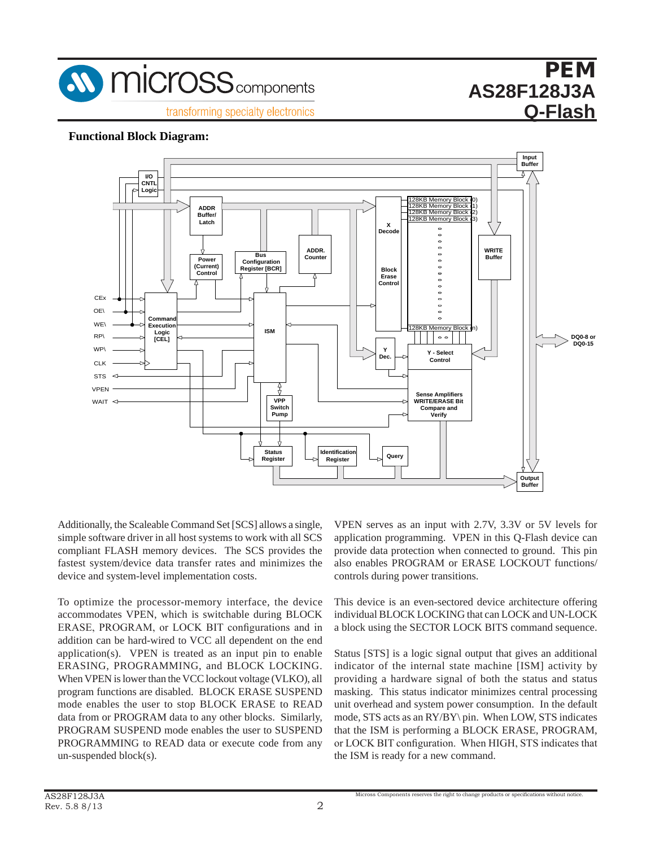

# PEM **PEM AS28F128J3A AS28F128J3M Q-Flash**

### **Functional Block Diagram:**



Additionally, the Scaleable Command Set [SCS] allows a single, simple software driver in all host systems to work with all SCS as compliant FLASH memory devices. The SCS provides the fastest system/device data transfer rates and minimizes the device and system-level implementation costs.  $T$  optimize the processor-memory is the device, the device, the device, the device, the device, the device, the device of  $T$ 

To optimize the processor-memory interface, the device <sup>7</sup> accommodates VPEN, which is switchable during BLOCK is ERASE, PROGRAM, or LOCK BIT configurations and in addition can be hard-wired to VCC all dependent on the end application(s). VPEN is treated as an input pin to enable  $\therefore$ ERASING, PROGRAMMING, and BLOCK LOCKING. i When VPEN is lower than the VCC lockout voltage (VLKO), all  $\parallel$ program functions are disabled. BLOCK ERASE SUSPEND mode enables the user to stop BLOCK ERASE to READ mode entities the user to stop BEOCK EXABE to READ data from or PROGRAM data to any other blocks. Similarly, PROGRAM SUSPEND mode enables the user to SUSPEND PROGRAMMING to READ data or execute code from any un-suspended block(s). -suspended block(s). the ISM is ready for a new command.  $\frac{1}{2}$  optimize the processor-including interface, the device suspended block<br>Lock(s).

VPEN serves as an input with 2.7V, 3.3V or 5V levels for VPEN serves as an input with 2.7V, 3.3V or 5V levels for application programming. VPEN in this Q-Flash device can application programming. VPEN in this Q-Flash device can provide data protection when connected to ground. This pin also enables PROGRAM or ERASE LOCKOUT functions/ controls during power transitions. during power transitions.

This device is an even-sectored device architecture offering This device is an even-sectored device architecture offering individual BLOCK LOCKING that can LOCK and UN-LOCK a block using the SECTOR LOCK BITS command sequence.  $\frac{11}{100}$  in a local Local Local Block and UNIC and UNIC and UNIC can Local and UN-LOCK and UN-LOCK and UN-LOCK and UN-LOCK and UN-LOCK and UN-LOCK and UN-LOCK and UN-LOCK and UN-LOCAL and UN-LOCAL and UN-LOCAL and UN-

Status [STS] is a logic signal output that gives an additional indicator of the internal state machine [ISM] activity by providing a hardware signal of both the status and status masking. This status indicator minimizes central processing making. This shall interest maintaire consumption. In the default unit overhead and system power consumption. In the default and overhead and system power consumption. In the detail mode, STS acts as an  $\frac{RY}{BY}$  pin. When LOW, STS indicates that the ISM is performing a BLOCK ERASE, PROGRAM, or LOCK BIT configuration. When HIGH, STS indicates that  $\cot$ , STS acts as an KT/D I \ pm. When LOW, STS indicates that the ISM is ready is ready in  $\cot$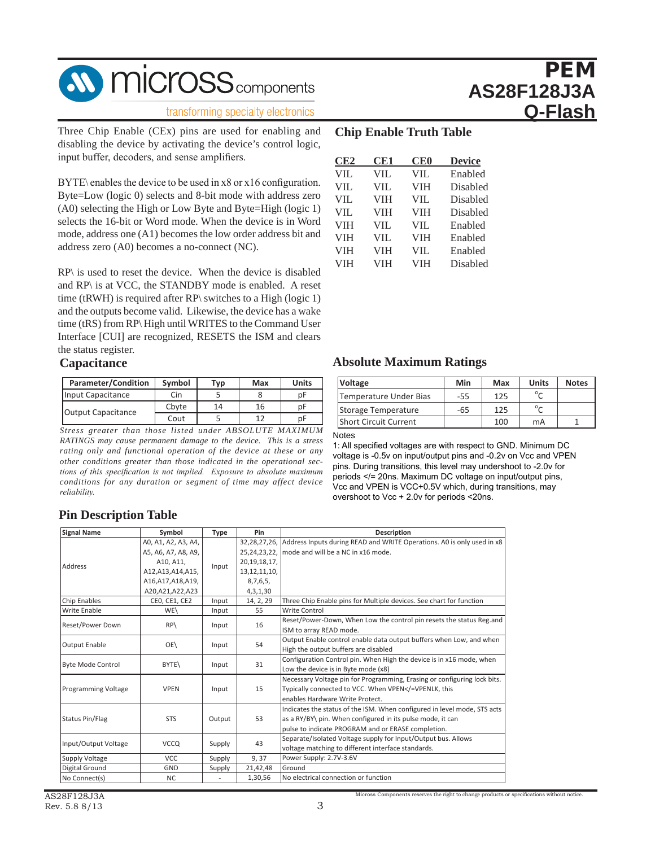

#### transforming specialty electronics

Three Chip Enable (CEx) pins are used for enabling and disabling the device by activating the device's control logic, input buffer, decoders, and sense amplifiers.

BYTE\ enables the device to be used in x8 or x16 configuration. Byte=Low (logic 0) selects and 8-bit mode with address zero (A0) selecting the High or Low Byte and Byte=High (logic 1) selects the 16-bit or Word mode. When the device is in Word mode, address one (A1) becomes the low order address bit and address zero (A0) becomes a no-connect (NC).

RP\ is used to reset the device. When the device is disabled and RP\ is at VCC, the STANDBY mode is enabled. A reset time (tRWH) is required after RP\ switches to a High (logic 1) and the outputs become valid. Likewise, the device has a wake time (tRS) from RP\ High until WRITES to the Command User Interface [CUI] are recognized, RESETS the ISM and clears the status register.

#### **Capacitance**

| <b>Parameter/Condition</b> | Symbol | Typ | Max | <b>Units</b> |
|----------------------------|--------|-----|-----|--------------|
| Input Capacitance          | Cin    |     |     |              |
| <b>Output Capacitance</b>  | Cbyte  | 14  | 16  |              |
|                            | Cout   |     |     |              |

*Stress greater than those listed under ABSOLUTE MAXIMUM RATINGS may cause permanent damage to the device. This is a stress rating only and functional operation of the device at these or any other conditions greater than those indicated in the operational sections of this specification is not implied. Exposure to absolute maximum conditions for any duration or segment of time may affect device reliability.*

### **Chip Enable Truth Table**

| CE <sub>2</sub> | CE1        | <b>CE0</b> | <b>Device</b> |
|-----------------|------------|------------|---------------|
| <b>VIL</b>      | <b>VIL</b> | <b>VIL</b> | Enabled       |
| <b>VIL</b>      | VIL        | <b>VIH</b> | Disabled      |
| <b>VIL</b>      | <b>VIH</b> | <b>VIL</b> | Disabled      |
| <b>VIL</b>      | <b>VIH</b> | <b>VIH</b> | Disabled      |
| <b>VIH</b>      | VIL        | <b>VIL</b> | Enabled       |
| <b>VIH</b>      | VIL        | <b>VIH</b> | Enabled       |
| <b>VIH</b>      | <b>VIH</b> | VII.       | Enabled       |
| <b>VIH</b>      | VIH        | <b>VIH</b> | Disabled      |

### **Absolute Maximum Ratings**

| <b>Voltage</b>               | Min | Max | <b>Units</b>                | <b>Notes</b> |
|------------------------------|-----|-----|-----------------------------|--------------|
| Temperature Under Bias       | -55 | 125 | $\mathfrak{0}_{\mathsf{C}}$ |              |
| Storage Temperature          | -65 | 125 | $\circ$                     |              |
| <b>Short Circuit Current</b> |     | 100 | mA                          |              |

#### Notes

1: All specified voltages are with respect to GND. Minimum DC voltage is -0.5v on input/output pins and -0.2v on Vcc and VPEN pins. During transitions, this level may undershoot to -2.0v for periods </= 20ns. Maximum DC voltage on input/output pins, Vcc and VPEN is VCC+0.5V which, during transitions, may overshoot to Vcc + 2.0v for periods <20ns.

## **Pin Description Table**

| <b>Signal Name</b>       | Symbol              | <b>Type</b> | Pin             | Description                                                                         |
|--------------------------|---------------------|-------------|-----------------|-------------------------------------------------------------------------------------|
|                          | A0, A1, A2, A3, A4, |             |                 | 32,28,27,26, Address Inputs during READ and WRITE Operations. A0 is only used in x8 |
|                          | A5, A6, A7, A8, A9, |             |                 | 25,24,23,22, mode and will be a NC in x16 mode.                                     |
|                          | A10, A11,           |             | 20, 19, 18, 17, |                                                                                     |
| Address                  | A12, A13, A14, A15, | Input       | 13, 12, 11, 10, |                                                                                     |
|                          | A16,A17,A18,A19,    |             | 8,7,6,5,        |                                                                                     |
|                          | A20, A21, A22, A23  |             | 4, 3, 1, 30     |                                                                                     |
| Chip Enables             | CEO, CE1, CE2       | Input       | 14, 2, 29       | Three Chip Enable pins for Multiple devices. See chart for function                 |
| Write Enable             | WE\                 | Input       | 55              | Write Control                                                                       |
|                          |                     |             |                 | Reset/Power-Down, When Low the control pin resets the status Reg.and                |
| Reset/Power Down         | RP                  | Input       | 16              | ISM to array READ mode.                                                             |
|                          |                     |             | 54              | Output Enable control enable data output buffers when Low, and when                 |
| <b>Output Enable</b>     | OE\                 | Input       |                 | High the output buffers are disabled                                                |
|                          |                     |             | 31              | Configuration Control pin. When High the device is in x16 mode, when                |
| <b>Byte Mode Control</b> | BYTE\               | Input       |                 | Low the device is in Byte mode (x8)                                                 |
|                          |                     |             |                 | Necessary Voltage pin for Programming, Erasing or configuring lock bits.            |
| Programming Voltage      | <b>VPEN</b>         | Input       | 15              | Typically connected to VCC. When VPEN =VPENLK, this</td                             |
|                          |                     |             |                 | enables Hardware Write Protect.                                                     |
|                          |                     |             |                 | Indicates the status of the ISM. When configured in level mode, STS acts            |
| <b>Status Pin/Flag</b>   | <b>STS</b>          | Output      | 53              | as a RY/BY\ pin. When configured in its pulse mode, it can                          |
|                          |                     |             |                 | pulse to indicate PROGRAM and or ERASE completion.                                  |
|                          |                     |             | 43              | Separate/Isolated Voltage supply for Input/Output bus. Allows                       |
| Input/Output Voltage     | <b>VCCQ</b>         | Supply      |                 | voltage matching to different interface standards.                                  |
| Supply Voltage           | <b>VCC</b>          | Supply      | 9,37            | Power Supply: 2.7V-3.6V                                                             |
| Digital Ground           | <b>GND</b>          | Supply      | 21,42,48        | Ground                                                                              |
| No Connect(s)            | <b>NC</b>           |             | 1,30,56         | No electrical connection or function                                                |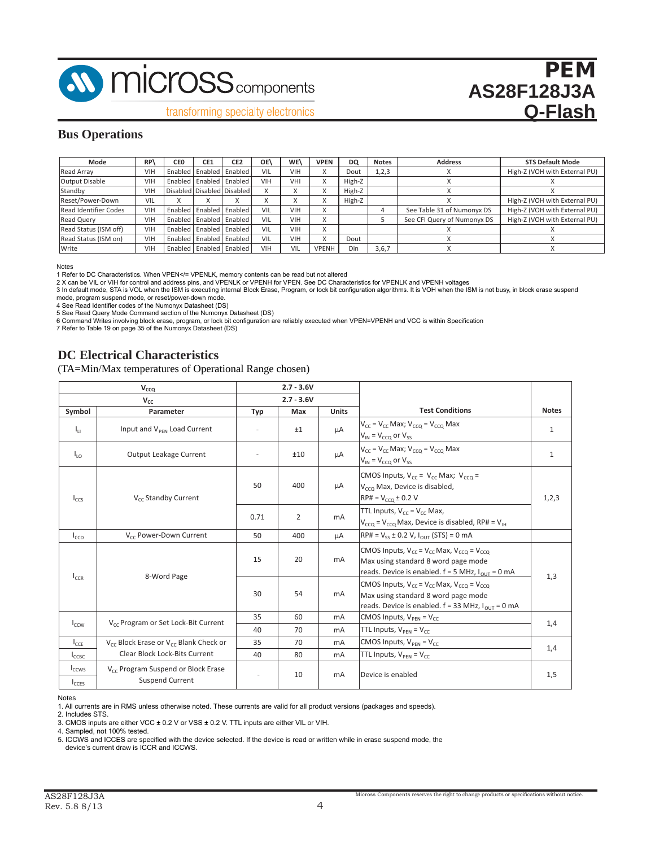

transforming specialty electronics

### **Bus Operations**

| Mode                         | RP  | CE <sub>0</sub> | CE <sub>1</sub>             | CE <sub>2</sub> | OE'        | WE\        | <b>VPEN</b>               | DQ     | <b>Notes</b> | <b>Address</b>              | <b>STS Default Mode</b>       |
|------------------------------|-----|-----------------|-----------------------------|-----------------|------------|------------|---------------------------|--------|--------------|-----------------------------|-------------------------------|
| Read Array                   | VIH | Enabled         |                             | Enabled Enabled | VIL        | <b>VIH</b> | ́                         | Dout   | 1, 2, 3      |                             | High-Z (VOH with External PU) |
| <b>Output Disable</b>        | VIH |                 | Enabled   Enabled   Enabled |                 | <b>VIH</b> | VHI        | $\checkmark$<br>$\lambda$ | High-Z |              |                             |                               |
| Standby                      | VIH |                 | Disabled Disabled Disabled  |                 |            |            | $\wedge$                  | High-Z |              |                             |                               |
| Reset/Power-Down             | VIL |                 |                             |                 | ́          | ́          | $\checkmark$<br>$\wedge$  | High-Z |              |                             | High-Z (VOH with External PU) |
| <b>Read Identifier Codes</b> | VIH |                 | Enabled   Enabled   Enabled |                 | VIL        | <b>VIH</b> | $\checkmark$<br>v         |        |              | See Table 31 of Numonyx DS  | High-Z (VOH with External PU) |
| <b>Read Querv</b>            | VIH |                 | Enabled   Enabled   Enabled |                 | VIL        | <b>VIH</b> | $\checkmark$<br>$\lambda$ |        |              | See CFI Query of Numonyx DS | High-Z (VOH with External PU) |
| Read Status (ISM off)        | VIH |                 | Enabled   Enabled   Enabled |                 | VIL        | <b>VIH</b> | $\checkmark$<br>$\wedge$  |        |              |                             |                               |
| Read Status (ISM on)         | VIH |                 | Enabled   Enabled   Enabled |                 | VIL        | <b>VIH</b> | $\checkmark$<br>$\lambda$ | Dout   |              |                             |                               |
| Write                        | VIH |                 | Enabled   Enabled   Enabled |                 | VIH        | VIL        | <b>VPENH</b>              | Din    | 3,6,7        |                             |                               |

Notes

1 Refer to DC Characteristics. When VPEN</= VPENLK, memory contents can be read but not altered

2 X can be VIL or VIH for control and address pins, and VPENLK or VPENH for VPEN. See DC Characteristics for VPENLK and VPENH voltages

3 In default mode, STA is VOL when the ISM is executing internal Block Erase, Program, or lock bit configuration algorithms. It is VOH when the ISM is not busy, in block erase suspend mode, program suspend mode, or reset/power-down mode.

4 See Read Identifier codes of the Numonyx Datasheet (DS)

5 See Read Query Mode Command section of the Numonyx Datasheet (DS)

6 Command Writes involving block erase, program, or lock bit configuration are reliably executed when VPEN=VPENH and VCC is within Specification 7 Refer to Table 19 on page 35 of the Numonyx Datasheet (DS)

### **DC Electrical Characteristics**

(TA=Min/Max temperatures of Operational Range chosen)

|                               | $V_{CCQ}$                                                         |      | $2.7 - 3.6V$   |                |                                                                                                                                                            |              |
|-------------------------------|-------------------------------------------------------------------|------|----------------|----------------|------------------------------------------------------------------------------------------------------------------------------------------------------------|--------------|
|                               | $V_{cc}$                                                          |      | $2.7 - 3.6V$   |                |                                                                                                                                                            |              |
| Symbol                        | Parameter                                                         | Typ  | Max            | <b>Units</b>   | <b>Test Conditions</b>                                                                                                                                     | <b>Notes</b> |
| $I_{11}$                      | Input and V <sub>PFN</sub> Load Current                           |      | ±1             | μA             | $V_{cc}$ = $V_{cc}$ Max; $V_{ccO}$ = $V_{ccO}$ Max<br>$V_{IN}$ = $V_{CCQ}$ or $V_{SS}$                                                                     | $\mathbf{1}$ |
| $I_{10}$                      | Output Leakage Current                                            | ٠    | ±10            | μA             | $V_{cc}$ = $V_{cc}$ Max; $V_{cc0}$ = $V_{cc0}$ Max<br>$V_{IN}$ = $V_{CCO}$ or $V_{SS}$                                                                     | $\mathbf{1}$ |
| $I_{CCS}$                     | V <sub>cc</sub> Standby Current                                   | 50   | 400            | μA             | CMOS Inputs, $V_{cc} = V_{cc}$ Max; $V_{cc} =$<br>V <sub>cco</sub> Max, Device is disabled,<br>$R$ P# = $V_{CCO}$ ± 0.2 V                                  | 1,2,3        |
|                               |                                                                   | 0.71 | $\overline{2}$ | mA             | TTL Inputs, $V_{cc} = V_{cc}$ Max,<br>$V_{CCO}$ = $V_{CCO}$ Max, Device is disabled, RP# = $V_{\text{H}}$                                                  |              |
| $I_{CCD}$                     | V <sub>cc</sub> Power-Down Current                                | 50   | 400            | μA             | $RP# = V_{ss} \pm 0.2 V, I_{OUT} (STS) = 0 mA$                                                                                                             |              |
| $I_{CCR}$                     | 8-Word Page                                                       | 15   | 20             | mA             | CMOS Inputs, $V_{cc} = V_{cc}$ Max, $V_{ccO} = V_{ccO}$<br>Max using standard 8 word page mode<br>reads. Device is enabled. $f = 5$ MHz, $I_{OUT} = 0$ mA  | 1,3          |
|                               |                                                                   | 30   | 54             | mA             | CMOS Inputs, $V_{cc} = V_{cc}$ Max, $V_{cc0} = V_{cc0}$<br>Max using standard 8 word page mode<br>reads. Device is enabled. $f = 33$ MHz, $I_{OUT} = 0$ mA |              |
| $I_{CCW}$                     | V <sub>cc</sub> Program or Set Lock-Bit Current                   | 35   | 60             | mA             | CMOS Inputs, $V_{\text{PFN}} = V_{\text{CC}}$                                                                                                              | 1,4          |
|                               |                                                                   | 40   | 70             | m <sub>A</sub> | TTL Inputs, $V_{\text{PFN}} = V_{\text{CC}}$                                                                                                               |              |
| $I_{CCE}$                     | $V_{cc}$ Block Erase or $V_{cc}$ Blank Check or                   | 35   | 70             | m <sub>A</sub> | CMOS Inputs, $V_{\text{PFN}} = V_{\text{CC}}$                                                                                                              | 1,4          |
| $I_{\text{CCRC}}$             | Clear Block Lock-Bits Current                                     | 40   | 80             | mA             | TTL Inputs, $V_{\text{PFN}} = V_{\text{CC}}$                                                                                                               |              |
| <b>I</b> ccws<br><b>ICCES</b> | V <sub>cc</sub> Program Suspend or Block Erase<br>Suspend Current | ٠    | 10             | m <sub>A</sub> | Device is enabled                                                                                                                                          | 1,5          |

Notes

1. All currents are in RMS unless otherwise noted. These currents are valid for all product versions (packages and speeds).

2. Includes STS.

3. CMOS inputs are either VCC ± 0.2 V or VSS ± 0.2 V. TTL inputs are either VIL or VIH.

4. Sampled, not 100% tested.

5. ICCWS and ICCES are specified with the device selected. If the device is read or written while in erase suspend mode, the device's current draw is ICCR and ICCWS.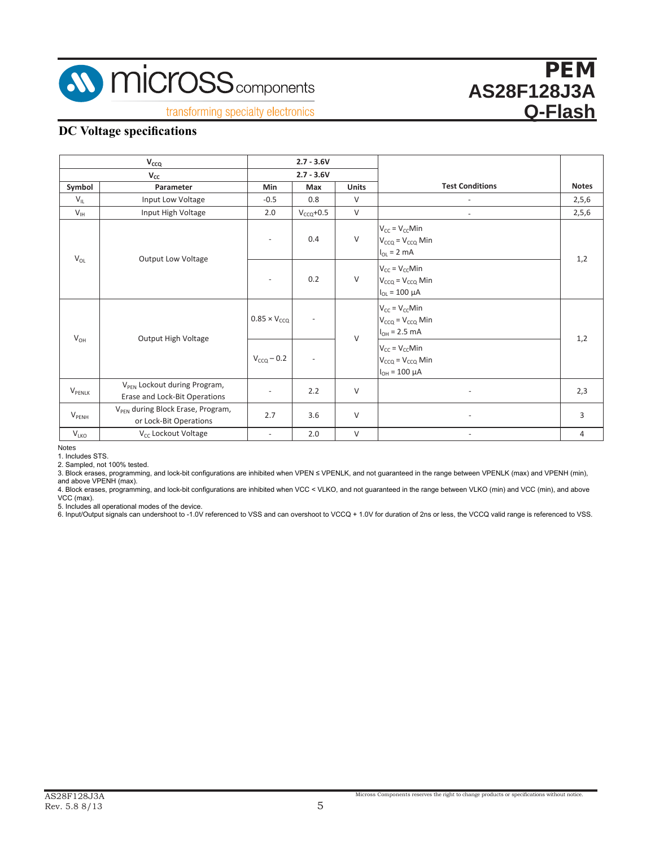

transforming specialty electronics

### **DC Voltage specifications**

|                           | $V_{CCQ}$                                                                 | $2.7 - 3.6V$             |                          |              |                                                                          |              |
|---------------------------|---------------------------------------------------------------------------|--------------------------|--------------------------|--------------|--------------------------------------------------------------------------|--------------|
|                           | $V_{CC}$                                                                  |                          | $2.7 - 3.6V$             |              |                                                                          |              |
| Symbol                    | Parameter                                                                 | Min                      | Max                      | <b>Units</b> | <b>Test Conditions</b>                                                   | <b>Notes</b> |
| $V_{\text{IL}}$           | Input Low Voltage                                                         | $-0.5$                   | 0.8                      | $\vee$       |                                                                          | 2,5,6        |
| $V_{IH}$                  | Input High Voltage                                                        | 2.0                      | $V_{CCQ}$ +0.5           | $\vee$       |                                                                          | 2,5,6        |
| $V_{OL}$                  | <b>Output Low Voltage</b>                                                 |                          | 0.4                      | $\vee$       | $V_{CC} = V_{CC}$ Min<br>$V_{CCQ} = V_{CCQ}$ Min<br>$I_{OL}$ = 2 mA      | 1,2          |
|                           |                                                                           |                          | 0.2                      | $\vee$       | $V_{CC} = V_{CC}$ Min<br>$V_{CCQ} = V_{CCQ}$ Min<br>$I_{OL} = 100 \mu A$ |              |
| $V_{OH}$                  | Output High Voltage                                                       | $0.85 \times V_{CCQ}$    |                          | $\vee$       | $V_{CC} = V_{CC}$ Min<br>$V_{CCQ} = V_{CCQ}$ Min<br>$I_{OH} = 2.5$ mA    | 1,2          |
|                           |                                                                           | $V_{CCQ} - 0.2$          | $\overline{\phantom{a}}$ |              | $V_{CC} = V_{CC}$ Min<br>$V_{CCQ} = V_{CCQ}$ Min<br>$I_{OH} = 100 \mu A$ |              |
| <b>V</b> <sub>PENLK</sub> | V <sub>PFN</sub> Lockout during Program,<br>Erase and Lock-Bit Operations | $\overline{\phantom{a}}$ | 2.2                      | $\vee$       |                                                                          | 2,3          |
| $V_{\text{PENH}}$         | V <sub>PFN</sub> during Block Erase, Program,<br>or Lock-Bit Operations   | 2.7                      | 3.6                      | $\vee$       | ٠                                                                        | 3            |
| V <sub>LKO</sub>          | V <sub>cc</sub> Lockout Voltage                                           | $\equiv$                 | 2.0                      | $\vee$       | $\overline{\phantom{a}}$                                                 | 4            |

Notes

1. Includes STS. 2. Sampled, not 100% tested.

3. Block erases, programming, and lock-bit configurations are inhibited when VPEN ≤ VPENLK, and not guaranteed in the range between VPENLK (max) and VPENH (min), and above VPENH (max).

4. Block erases, programming, and lock-bit configurations are inhibited when VCC < VLKO, and not guaranteed in the range between VLKO (min) and VCC (min), and above<br>VCC (max).<br>5. Includes all operational modes of the devic

6. Input/Output signals can undershoot to -1.0V referenced to VSS and can overshoot to VCCQ + 1.0V for duration of 2ns or less, the VCCQ valid range is referenced to VSS.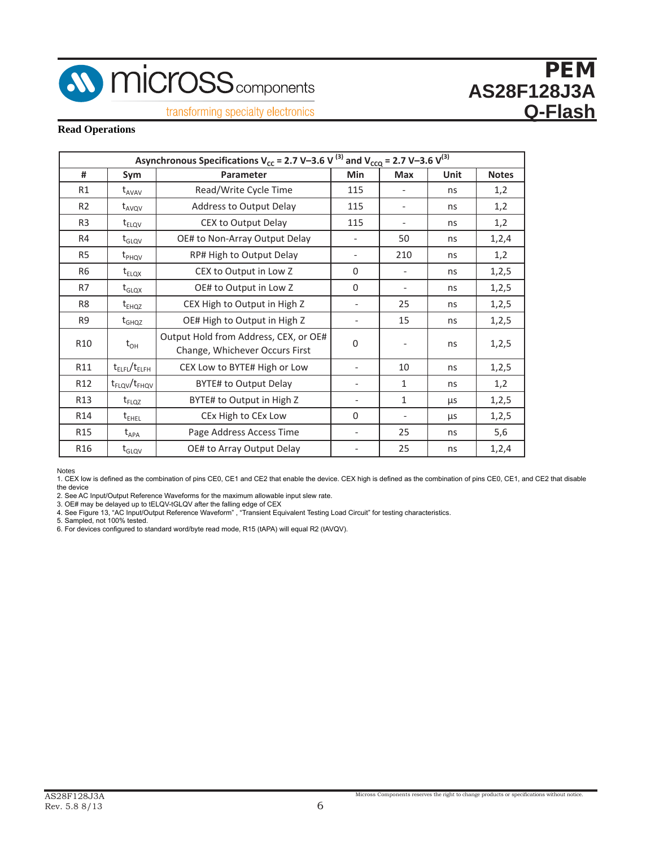

### transforming specialty electronics

### **Read Operations**

|                 |                                   | Asynchronous Specifications V <sub>cc</sub> = 2.7 V-3.6 V <sup>(3)</sup> and V <sub>cco</sub> = 2.7 V-3.6 V <sup>(3)</sup> |                          |                          |             |              |
|-----------------|-----------------------------------|----------------------------------------------------------------------------------------------------------------------------|--------------------------|--------------------------|-------------|--------------|
| #               | Sym                               | Parameter                                                                                                                  | Min                      | <b>Max</b>               | <b>Unit</b> | <b>Notes</b> |
| R <sub>1</sub>  | $t$ <sub>AVAV</sub>               | Read/Write Cycle Time                                                                                                      | 115                      |                          | ns          | 1,2          |
| R <sub>2</sub>  | $t_{AVQV}$                        | Address to Output Delay                                                                                                    | 115                      | $\overline{\phantom{0}}$ | ns          | 1,2          |
| R <sub>3</sub>  | $t_{ELOV}$                        | CEX to Output Delay                                                                                                        | 115                      | $\overline{\phantom{0}}$ | ns          | 1,2          |
| R4              | $t_{\text{GLQV}}$                 | OE# to Non-Array Output Delay                                                                                              |                          | 50                       | ns          | 1,2,4        |
| R <sub>5</sub>  | $t_{PHQV}$                        | RP# High to Output Delay                                                                                                   | $\overline{\phantom{a}}$ | 210                      | ns          | 1,2          |
| R <sub>6</sub>  | $t_{ELOX}$                        | CEX to Output in Low Z                                                                                                     | $\Omega$                 |                          | ns          | 1, 2, 5      |
| R7              | $\rm t_{GLQX}$                    | OE# to Output in Low Z                                                                                                     | $\Omega$                 | $\overline{\phantom{a}}$ | ns          | 1, 2, 5      |
| R <sub>8</sub>  | $t_{EHQZ}$                        | CEX High to Output in High Z                                                                                               |                          | 25                       | ns          | 1,2,5        |
| R <sub>9</sub>  | $t_{GHQZ}$                        | OE# High to Output in High Z                                                                                               |                          | 15                       | ns          | 1, 2, 5      |
| R10             | $t_{OH}$                          | Output Hold from Address, CEX, or OE#<br>Change, Whichever Occurs First                                                    | $\Omega$                 | $\overline{\phantom{0}}$ | ns          | 1,2,5        |
| R11             | $t_{\text{ELFL}}/t_{\text{ELFH}}$ | CEX Low to BYTE# High or Low                                                                                               |                          | 10                       | ns          | 1, 2, 5      |
| R <sub>12</sub> | $t_{FLQV}/t_{FHQV}$               | BYTE# to Output Delay                                                                                                      |                          | $\mathbf{1}$             | ns          | 1,2          |
| R <sub>13</sub> | $t_{FLQZ}$                        | BYTE# to Output in High Z                                                                                                  |                          | $\mathbf{1}$             | μs          | 1, 2, 5      |
| R <sub>14</sub> | $t_{EHEL}$                        | CEx High to CEx Low                                                                                                        | $\Omega$                 |                          | μs          | 1,2,5        |
| R <sub>15</sub> | $t_{APA}$                         | Page Address Access Time                                                                                                   | $\overline{\phantom{a}}$ | 25                       | ns          | 5,6          |
| R <sub>16</sub> | $t_{\text{GLQV}}$                 | OE# to Array Output Delay                                                                                                  |                          | 25                       | ns          | 1, 2, 4      |

Notes

1. CEX low is defined as the combination of pins CE0, CE1 and CE2 that enable the device. CEX high is defined as the combination of pins CE0, CE1, and CE2 that disable the device

2. See AC Input/Output Reference Waveforms for the maximum allowable input slew rate.

3. OE# may be delayed up to tELQV-tGLQV after the falling edge of CEX<br>4. See Figure 13, "AC Input/Output Reference Waveform" , "Transient Equivalent Testing Load Circuit" for testing characteristics.<br>5. Sampled, not 100% t

<sup>6.</sup> For devices configured to standard word/byte read mode, R15 (tAPA) will equal R2 (tAVQV).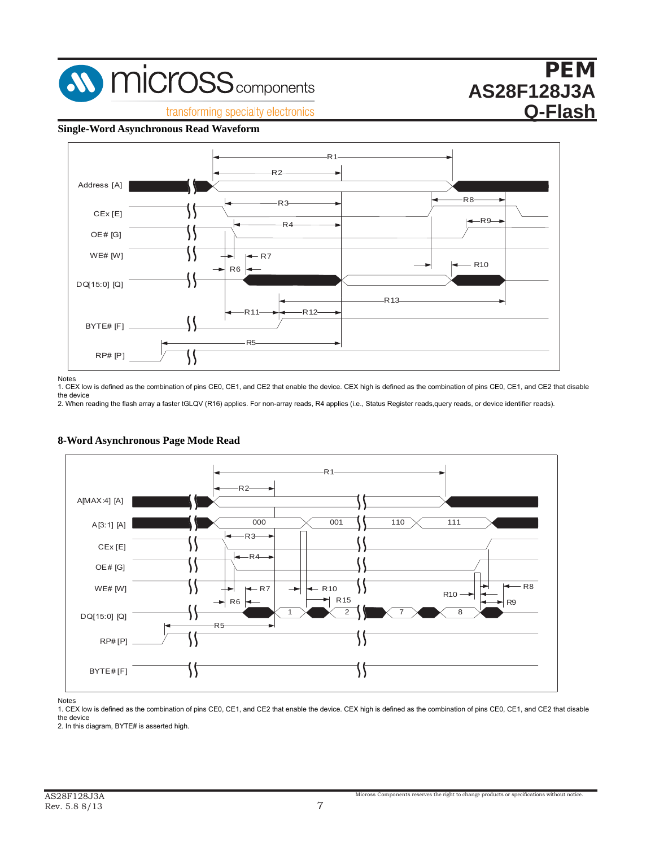

**Fransforming specialty electronics** 

# PEM **AS28F128J3A Q-Flash**

## **Single-Word Asynchronous Read Waveform Figure 8: Single-Word Asynchronous Read Waveform**



Notes

Notes<br>1. CEX low is defined as the combination of pins CE0, CE1, and CE2 that enable the device. CEX high is defined as the combination of pins CE0, CE1, and CE2 that disable the device es<br>CEX low is defined as the combination of pins CE0, CE1, and CE2 that enable the device. CEX high is defined as the combination of pins CE0, CE1, and CE2 tl<br>device

the device<br>2. When reading the flash array a faster tGLQV (R16) applies. For non-array reads, R4 applies (i.e., Status Register reads,query reads, or device identifier reads).



## **Figure 9: 8-Word Asynchronous Page Mode Read 8-Word Asynchronous Page Mode Read**

*Notes:* Notes

*Notes:* the device 1. CEX low is defined as the combination of pins CE0, CE1, and CE2 that enable the device. CEX high is defined as the combination of pins CE0, CE1, and CE2 that disable  $\epsilon$ 1, and CE2 that disable that disable the device  $\epsilon$  Table  $\epsilon$  Table for  $32-$  ,  $\epsilon$  ,  $\epsilon$  ,  $\epsilon$  ,  $\epsilon$  ,  $\epsilon$  ,  $\epsilon$  ,  $\epsilon$  ,  $\epsilon$  ,  $\epsilon$  ,  $\epsilon$  ,  $\epsilon$  ,  $\epsilon$  ,  $\epsilon$  ,  $\epsilon$  ,  $\epsilon$  ,  $\epsilon$  ,  $\epsilon$  ,  $\epsilon$  ,  $\epsilon$  ,  $\$ 

n.c. Cevice<br>2. In this diagram, BYTE# is asserted high.  $\alpha$ <sub>1,</sub>  $\beta$ <sub>1</sub> that is assemed fight.  $\alpha$ <sub>1</sub>,  $\beta$ <sup>2</sup> that disable  $\alpha$ <sub>1</sub>,  $\beta$ <sup>2</sup>  $\alpha$ <sub>2</sub>, 128-4, 128-Mb on page 30, 128-Mb on page 30, 128-Mb on page 30, 128-Mb on page 30, 128-Mb on page 30, 128-Mb on page 30, 128-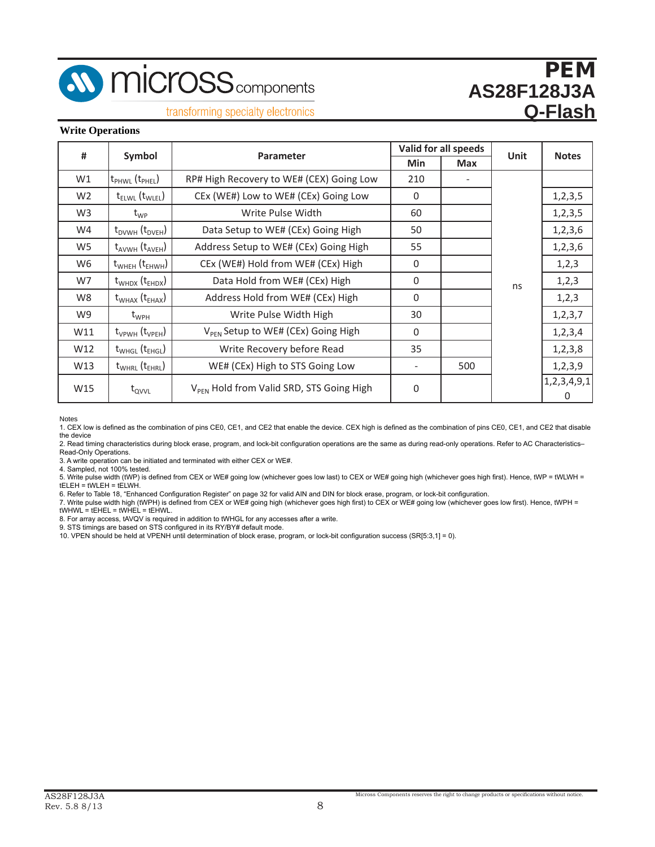

**M** micross<sub>components</sub>

# PEM **AS28F128J3A Q-Flash**

transforming specialty electronics

#### **Write Operations**

| #              | Symbol                                 | Parameter                                            |             | Valid for all speeds | Unit | <b>Notes</b>          |
|----------------|----------------------------------------|------------------------------------------------------|-------------|----------------------|------|-----------------------|
|                |                                        |                                                      | Min         | <b>Max</b>           |      |                       |
| W1             | t <sub>PHWL</sub> (t <sub>PHEL</sub> ) | RP# High Recovery to WE# (CEX) Going Low             | 210         |                      |      |                       |
| W <sub>2</sub> | $t_{ELWL}$ ( $t_{WLEL}$ )              | CEx (WE#) Low to WE# (CEx) Going Low                 | $\mathbf 0$ |                      |      | 1, 2, 3, 5            |
| W <sub>3</sub> | $\rm t_{\rm WP}$                       | Write Pulse Width                                    | 60          |                      |      | 1, 2, 3, 5            |
| W4             | $t_{DVWH}$ ( $t_{DVEH}$ )              | Data Setup to WE# (CEx) Going High                   | 50          |                      |      | 1,2,3,6               |
| W <sub>5</sub> | $t_{AVWH}$ ( $t_{AVEH}$ )              | Address Setup to WE# (CEx) Going High                | 55          |                      |      | 1, 2, 3, 6            |
| W <sub>6</sub> | $t_{WHEH}$ ( $t_{EHWH}$ )              | CEx (WE#) Hold from WE# (CEx) High                   | $\Omega$    |                      |      | 1, 2, 3               |
| W7             | $t_{WHDX}$ ( $t_{EHDX}$ )              | Data Hold from WE# (CEx) High                        | $\mathbf 0$ |                      | ns   | 1,2,3                 |
| W8             | $t_{WHAX}$ ( $t_{EHAX}$ )              | Address Hold from WE# (CEx) High                     | $\Omega$    |                      |      | 1,2,3                 |
| W9             | $t_{WPH}$                              | Write Pulse Width High                               | 30          |                      |      | 1, 2, 3, 7            |
| W11            | $t_{VPWH}$ ( $t_{VPEH}$ )              | V <sub>PFN</sub> Setup to WE# (CEx) Going High       | $\Omega$    |                      |      | 1, 2, 3, 4            |
| W12            | $t_{WHGL}$ ( $t_{EHGL}$ )              | Write Recovery before Read                           | 35          |                      |      | 1, 2, 3, 8            |
| W13            | $t_{WHRL}$ ( $t_{EHRL}$ )              | WE# (CEx) High to STS Going Low                      | -           | 500                  |      | 1, 2, 3, 9            |
| W15            | $t_{\text{QVVL}}$                      | V <sub>PFN</sub> Hold from Valid SRD, STS Going High | $\mathbf 0$ |                      |      | 1, 2, 3, 4, 9, 1<br>0 |

Notes

1. CEX low is defined as the combination of pins CE0, CE1, and CE2 that enable the device. CEX high is defined as the combination of pins CE0, CE1, and CE2 that disable the device

2. Read timing characteristics during block erase, program, and lock-bit configuration operations are the same as during read-only operations. Refer to AC Characteristics– Read-Only Operations.

3. A write operation can be initiated and terminated with either CEX or WE#.

4. Sampled, not 100% tested.

5. Write pulse width (tWP) is defined from CEX or WE# going low (whichever goes low last) to CEX or WE# going high (whichever goes high first). Hence, tWP = tWLWH = tELEH = tWLEH = tELWH.

6. Refer to Table 18, "Enhanced Configuration Register" on page 32 for valid AIN and DIN for block erase, program, or lock-bit configuration.

7. Write pulse width high (tWPH) is defined from CEX or WE# going high (whichever goes high first) to CEX or WE# going low (whichever goes low first). Hence, tWPH = tWHWL = tEHEL = tWHEL = tEHWL.

8. For array access, tAVQV is required in addition to tWHGL for any accesses after a write.

9. STS timings are based on STS configured in its RY/BY# default mode.

10. VPEN should be held at VPENH until determination of block erase, program, or lock-bit configuration success (SR[5:3,1] = 0).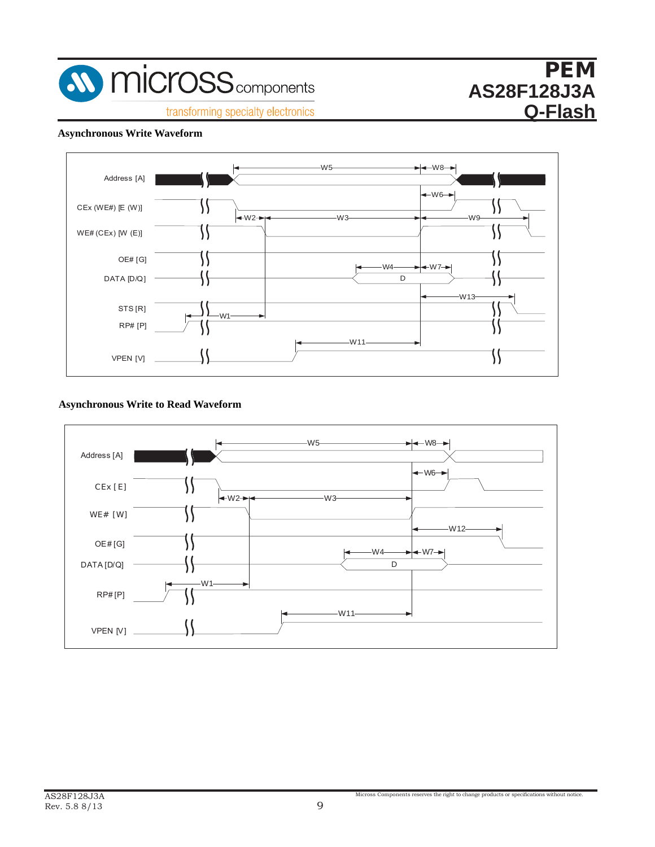

### **Asynchronous Write Waveform**



### **Figure 11: Asynchronous Write to Read Waveform Asynchronous Write to Read Waveform**

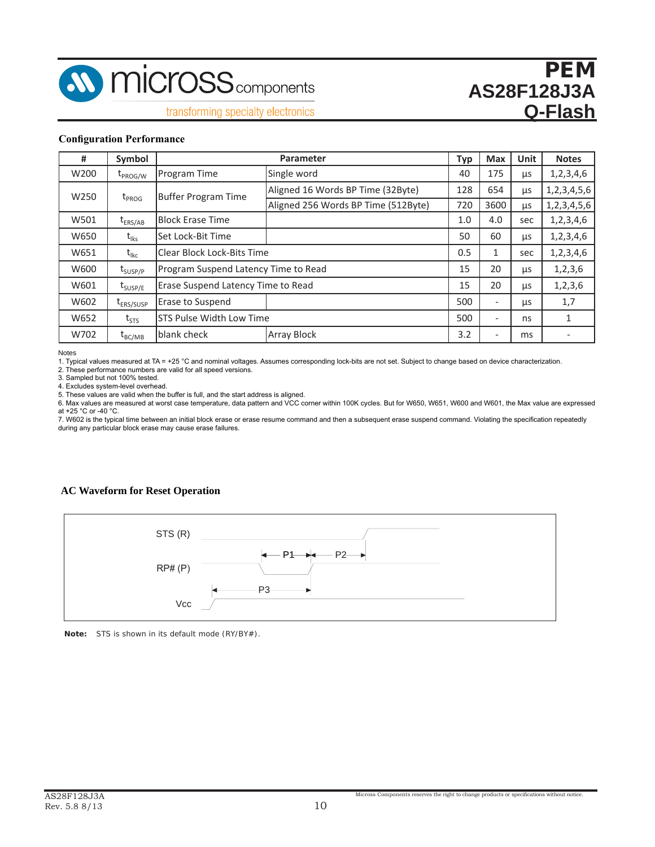

**7.2 Program, Erase, Block-Lock Specifications**

#### **Configuration Performance**

| #                | Symbol                |                                      | Parameter                           | Typ | <b>Max</b> | Unit       | <b>Notes</b>     |
|------------------|-----------------------|--------------------------------------|-------------------------------------|-----|------------|------------|------------------|
| W200             | $t_{PROG/W}$          | Program Time                         | Single word                         | 40  | 175        | μs         | 1,2,3,4,6        |
| W <sub>250</sub> | $t_{PROG}$            | <b>Buffer Program Time</b>           | Aligned 16 Words BP Time (32Byte)   | 128 | 654        | <b>LLS</b> | 1, 2, 3, 4, 5, 6 |
|                  |                       |                                      | Aligned 256 Words BP Time (512Byte) | 720 | 3600       | μs         | 1, 2, 3, 4, 5, 6 |
| W501             | $t_{ERS/AB}$          | <b>Block Erase Time</b>              |                                     | 1.0 | 4.0        | sec        | 1,2,3,4,6        |
| W650             | $t_{\rm lks}$         | Set Lock-Bit Time                    |                                     | 50  | 60         | μs         | 1,2,3,4,6        |
| W651             | $t_{lkc}$             | <b>Clear Block Lock-Bits Time</b>    |                                     | 0.5 |            | sec        | 1, 2, 3, 4, 6    |
| W600             | $t_{\text{SUSP/P}}$   | Program Suspend Latency Time to Read |                                     | 15  | 20         | μs         | 1, 2, 3, 6       |
| W601             | $t_{\text{SUSP/E}}$   | Erase Suspend Latency Time to Read   |                                     | 15  | 20         | μs         | 1, 2, 3, 6       |
| W602             | t <sub>ERS/SUSP</sub> | <b>Erase to Suspend</b>              |                                     | 500 |            | μs         | 1,7              |
| W652             | $t_{STS}$             | STS Pulse Width Low Time             |                                     | 500 | -          | ns         | 1                |
| W702             | $t_{BC/MB}$           | blank check                          | <b>Array Block</b>                  | 3.2 |            | ms         |                  |

Notes

Notes<br>1. Typical values measured at TA = +25 °C and nominal voltages. Assumes corresponding lock-bits are not set. Subject to change based on device characterization.

2. These performance numbers are valid for all speed versions.

3. Sampled but not 100% tested. Assume at TA = +25 °C and non-induced at TA = +25 °C and not set to set to set to set. Subject to set to set to set to set to set. Subject to set to set to set. Subject to set. Subject to se

4. Excludes system-level overhead.

5. These values are valid when the buffer is full, and the start address is aligned.

6. Max values are measured at worst case temperature, data pattern and VCC corner within 100K cycles. But for W650, W651, W600 and W601, the Max value are expressed at +25  $^{\circ}$ C or -40  $^{\circ}$ C.

7. W602 is the typical time between an initial block erase or erase resume command and then a subsequent erase suspend command. Violating the specification repeatedly during any particular block erase may cause erase failures.

# **AC Waveform for Reset Operation 7.3 Reset Specifications**



*Note:* STS is shown in its default mode (RY/BY#).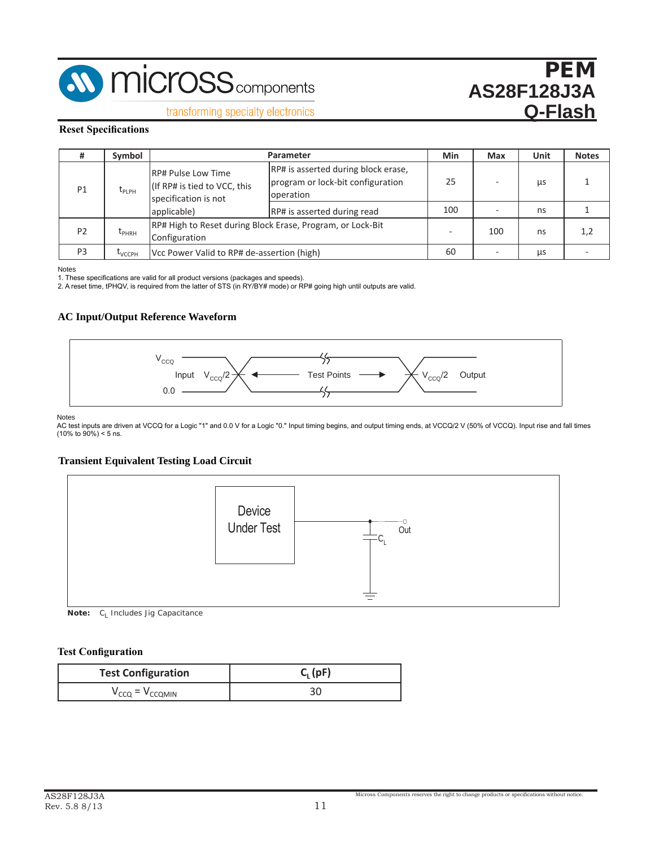

transforming specialty electronics

#### **Reset Specifications Table 14: Reset Specifications**

|                | Symbol             |                                                                                   | Parameter                                                                             | Min | Max | <b>Unit</b> | <b>Notes</b> |
|----------------|--------------------|-----------------------------------------------------------------------------------|---------------------------------------------------------------------------------------|-----|-----|-------------|--------------|
| P <sub>1</sub> | L <sub>PLPH</sub>  | <b>RP# Pulse Low Time</b><br>(If RP# is tied to VCC, this<br>specification is not | RP# is asserted during block erase,<br>program or lock-bit configuration<br>operation | 25  |     | <b>LLS</b>  |              |
|                |                    | applicable)                                                                       | RP# is asserted during read                                                           | 100 |     | ns          |              |
| P <sub>2</sub> | $L_{PHRH}$         | Configuration                                                                     | RP# High to Reset during Block Erase, Program, or Lock-Bit                            |     | 100 | ns          | 1,2          |
| P <sub>3</sub> | Т <sub>VCCPН</sub> | Vcc Power Valid to RP# de-assertion (high)                                        |                                                                                       | 60  | -   | μs          |              |

Notes

<sub>is</sub><br>lese specifications are valid for all product versions (packages and speeds).

1. These specifications are valid for all product versions (packages and speeds). 2. A reset time, tPHQV, is required from the latter of STS (in RY/BY# mode) or RP# going high until outputs are valid. reset time, tPHQV, is required from the latter of STS (in RY/BY# mode) or RP# going high until outputs an

# **AC Input/Output Reference Waveform 7.4 AC Test Conditions**



Notes

are driven at VCCQ for a Logic "1" and 0.0 V for a Logic "0" Input timing begins, and outr  $\sigma$  **Figure 14:** The 14:  $\sigma$  and  $\sigma$ AC test inputs are driven at VCCQ for a Logic "1" and 0.0 V for a Logic "0." Input timing begins, and output timing ends, at VCCQ/2 V (50% of VCCQ). Input rise and fall times<br>(10% to 90%) < 5 ns.<br>

## **Figure 14: Transient Equivalent Testing Load Circuit Transient Equivalent Testing Load Circuit**



*Note:* C<sub>L</sub> Includes Jig Capacitance

#### **Test Configuration**

| <b>Test Configuration</b>                                            | $C_1$ (pF) |
|----------------------------------------------------------------------|------------|
| $\mathcal{L}_{\alpha\alpha} = \mathcal{V}_{\alpha}$<br><b>CCOMIN</b> |            |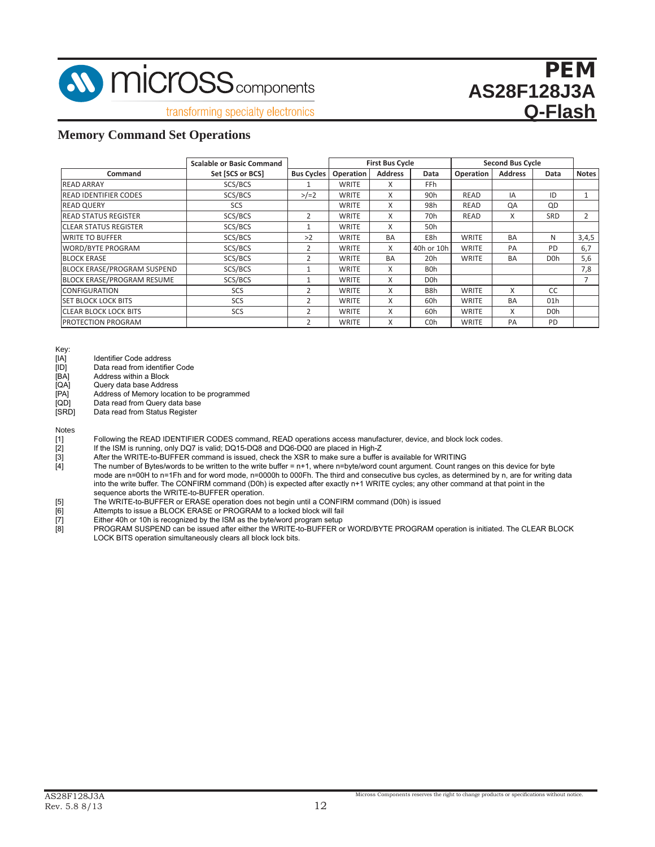

transforming specialty electronics

### **Memory Command Set Operations**

| <b>Scalable or Basic Command</b>   |                  |                   | <b>First Bus Cycle</b> |                |                  | <b>Second Bus Cycle</b> |                |                  |                |
|------------------------------------|------------------|-------------------|------------------------|----------------|------------------|-------------------------|----------------|------------------|----------------|
| Command                            | Set [SCS or BCS] | <b>Bus Cycles</b> | Operation              | <b>Address</b> | Data             | Operation               | <b>Address</b> | Data             | <b>Notes</b>   |
| <b>READ ARRAY</b>                  | SCS/BCS          |                   | <b>WRITE</b>           | x              | <b>FFh</b>       |                         |                |                  |                |
| <b>READ IDENTIFIER CODES</b>       | SCS/BCS          | $>/-2$            | <b>WRITE</b>           | X              | 90 <sub>h</sub>  | <b>READ</b>             | IA             | ID               |                |
| <b>READ QUERY</b>                  | SCS              |                   | <b>WRITE</b>           | X              | 98h              | READ                    | QA             | QD               |                |
| <b>READ STATUS REGISTER</b>        | SCS/BCS          | $\overline{2}$    | <b>WRITE</b>           | X              | 70 <sub>h</sub>  | <b>READ</b>             | X              | SRD              | $\overline{2}$ |
| <b>ICLEAR STATUS REGISTER</b>      | SCS/BCS          | 1                 | <b>WRITE</b>           | X              | 50h              |                         |                |                  |                |
| <b>WRITE TO BUFFER</b>             | SCS/BCS          | >2                | <b>WRITE</b>           | <b>BA</b>      | E8h              | <b>WRITE</b>            | <b>BA</b>      | N                | 3,4,5          |
| <b>WORD/BYTE PROGRAM</b>           | SCS/BCS          | $\overline{2}$    | <b>WRITE</b>           | X              | 40h or 10h       | <b>WRITE</b>            | PA             | PD               | 6,7            |
| <b>BLOCK ERASE</b>                 | SCS/BCS          | $\overline{2}$    | <b>WRITE</b>           | <b>BA</b>      | 20h              | <b>WRITE</b>            | <b>BA</b>      | D <sub>O</sub> h | 5,6            |
| <b>BLOCK ERASE/PROGRAM SUSPEND</b> | SCS/BCS          | 1                 | <b>WRITE</b>           | X              | <b>BOh</b>       |                         |                |                  | 7,8            |
| <b>BLOCK ERASE/PROGRAM RESUME</b>  | SCS/BCS          |                   | <b>WRITE</b>           | X              | D <sub>O</sub> h |                         |                |                  |                |
| <b>CONFIGURATION</b>               | SCS              | 2                 | <b>WRITE</b>           | X              | B <sub>8</sub> h | <b>WRITE</b>            | X              | <b>CC</b>        |                |
| <b>SET BLOCK LOCK BITS</b>         | SCS              | $\overline{2}$    | <b>WRITE</b>           | X              | 60h              | <b>WRITE</b>            | <b>BA</b>      | 01h              |                |
| <b>ICLEAR BLOCK LOCK BITS</b>      | SCS              | $\overline{2}$    | <b>WRITE</b>           | X              | 60h              | <b>WRITE</b>            | X              | D <sub>O</sub> h |                |
| <b>PROTECTION PROGRAM</b>          |                  | $\overline{2}$    | <b>WRITE</b>           | X              | C <sub>O</sub> h | <b>WRITE</b>            | PA             | PD               |                |

- Key:<br>[IA]
- [IA] Identifier Code address<br>[ID] Data read from identifie [ID] Data read from identifier Code<br>[BA] Address within a Block
- Address within a Block
- [QA] Query data base Address
- 
- [PA] Address of Memory location to be programmed<br>[QD] Data read from Query data base
- [QD] Data read from Query data base<br>[SRD] Data read from Status Register Data read from Status Register

Notes

- [1] Following the READ IDENTIFIER CODES command, READ operations access manufacturer, device, and block lock codes.<br>[2] If the ISM is running, only DQ7 is valid; DQ15-DQ8 and DQ6-DQ0 are placed in High-Z
- 
- After the WRITE-to-BUFFER command is issued, check the XSR to make sure a buffer is available for WRITING

- [5] The WRITE-to-BUFFER or ERASE operation does not begin until a CONFIRM command (D0h) is issued<br>[6] Attempts to issue a BLOCK ERASE or PROGRAM to a locked block will fail
- Attempts to issue a BLOCK ERASE or PROGRAM to a locked block will fail
- 
- [7] Either 40h or 10h is recognized by the ISM as the byte/word program setup [8] PROGRAM SUSPEND can be issued after either the WRITE-to-BUFFER or PROGRAM SUSPEND can be issued after either the WRITE-to-BUFFER or WORD/BYTE PROGRAM operation is initiated. The CLEAR BLOCK LOCK BITS operation simultaneously clears all block lock bits.

<sup>[2]</sup> If the ISM is running, only DQ7 is valid; DQ15-DQ8 and DQ6-DQ0 are placed in High-Z<br>[3] After the WRITE-to-BUFFER command is issued, check the XSR to make sure a buffer<br>[4] The number of Bytes/words to be written to th The number of Bytes/words to be written to the write buffer = n+1, where n=byte/word count argument. Count ranges on this device for byte mode are n=00H to n=1Fh and for word mode, n=0000h to 000Fh. The third and consecutive bus cycles, as determined by n, are for writing data into the write buffer. The CONFIRM command (D0h) is expected after exactly n+1 WRITE cycles; any other command at that point in the sequence aborts the WRITE-to-BUFFER operation.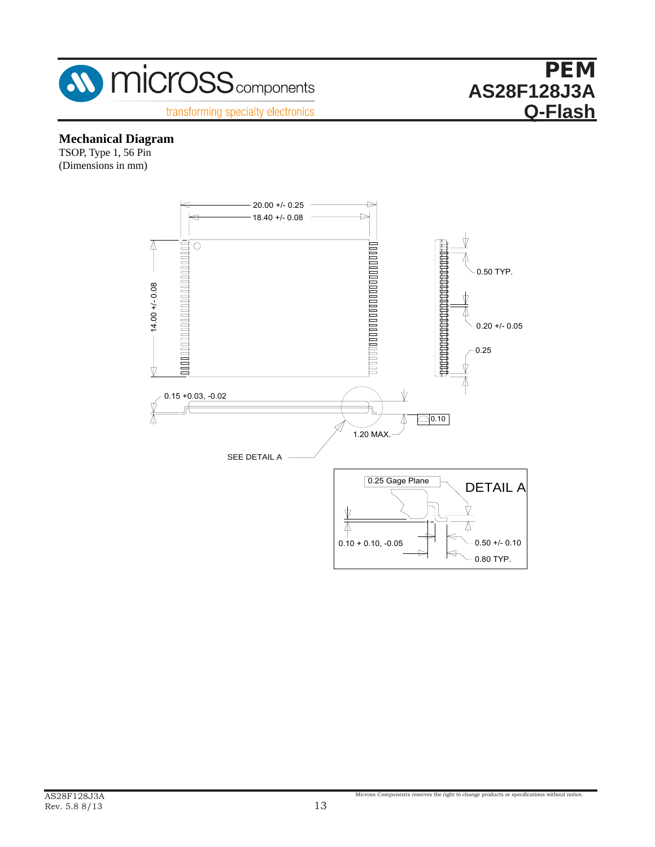

# **Mechanical Diagram**

TSOP, Type 1, 56 Pin (Dimensions in mm)

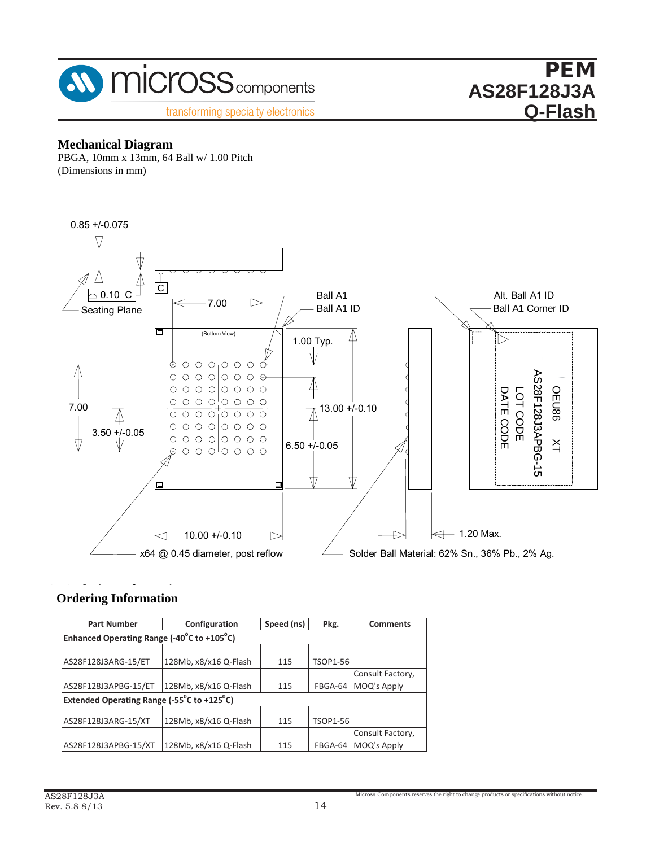

#### PEM **AS28F128J3A Q-Flash PEM FIZ0J3A**

## **Mechanical Diagram**

PBGA, 10mm x 13mm, 64 Ball w/ 1.00 Pitch (Dimensions in mm)



#### **ASI Ordering Information Ordering Information**

| <b>Part Number</b>                                                      | Configuration         | Speed (ns) | Pkg.            | <b>Comments</b>  |
|-------------------------------------------------------------------------|-----------------------|------------|-----------------|------------------|
| Enhanced Operating Range (-40°C to +105°C)                              |                       |            |                 |                  |
|                                                                         |                       |            |                 |                  |
| AS28F128J3ARG-15/ET                                                     | 128Mb, x8/x16 Q-Flash | 115        | <b>TSOP1-56</b> |                  |
|                                                                         |                       |            |                 | Consult Factory, |
| AS28F128J3APBG-15/ET                                                    | 128Mb, x8/x16 Q-Flash | 115        | FBGA-64         | MOQ's Apply      |
| <b>Extended Operating Range (-55<sup>°</sup>C to +125<sup>°</sup>C)</b> |                       |            |                 |                  |
|                                                                         |                       |            |                 |                  |
| AS28F128J3ARG-15/XT                                                     | 128Mb, x8/x16 Q-Flash | 115        | <b>TSOP1-56</b> |                  |
|                                                                         |                       |            |                 | Consult Factory, |
| AS28F128J3APBG-15/XT                                                    | 128Mb, x8/x16 Q-Flash | 115        | FBGA-64         | MOQ's Apply      |